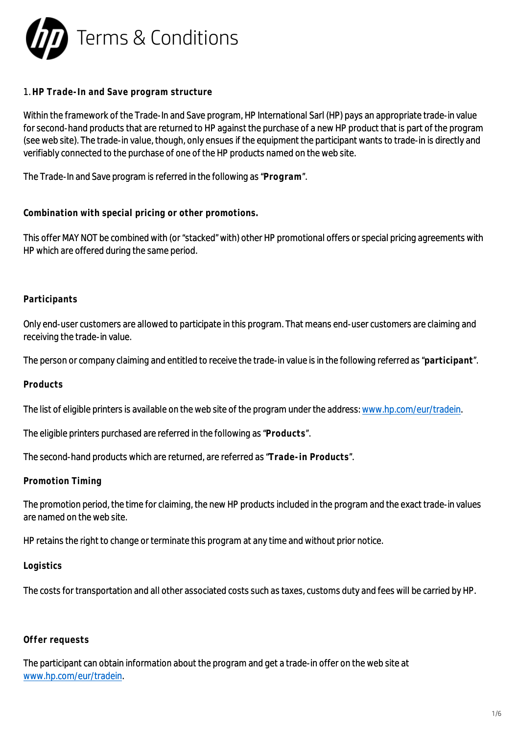

## 1. **HP Trade-In and Save program structure**

Within the framework of the Trade-In and Save program, HP International Sarl (HP) pays an appropriate trade-in value for second-hand products that are returned to HP against the purchase of a new HP product that is part of the program (see web site). The trade-in value, though, only ensues if the equipment the participant wants to trade-in is directly and verifiably connected to the purchase of one of the HP products named on the web site.

The Trade-In and Save program is referred in the following as "**Program**".

**Combination with special pricing or other promotions.**

This offer MAY NOT be combined with (or "stacked" with) other HP promotional offers or special pricing agreements with HP which are offered during the same period.

#### **Participants**

Only end-user customers are allowed to participate in this program. That means end-user customers are claiming and receiving the trade-in value.

The person or company claiming and entitled to receive the trade-in value is in the following referred as "**participant**".

**Products**

The list of eligible printers is available on the web site of the program under the address: [www.hp.com/eur/tradein](http://www.hp.com/eur/tradein).

The eligible printers purchased are referred in the following as "**Products**".

The second-hand products which are returned, are referred as "**Trade-in Products**".

**Promotion Timing**

The promotion period, the time for claiming, the new HP products included in the program and the exact trade-in values are named on the web site.

HP retains the right to change or terminate this program at any time and without prior notice.

**Logistics**

The costs for transportation and all other associated costs such as taxes, customs duty and fees will be carried by HP.

# **Offer requests**

The participant can obtain information about the program and get a trade-in offer on the web site at [www.hp.com/eur/tradein.](http://www.hp.com/eur/tradein)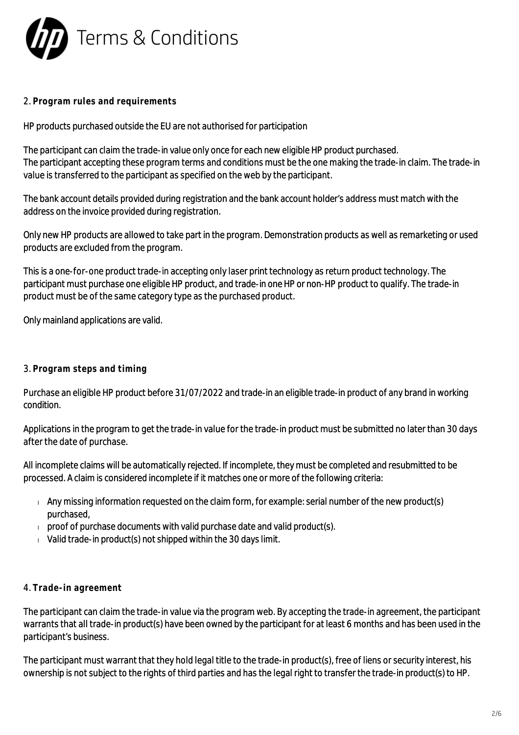

## 2. **Program rules and requirements**

HP products purchased outside the EU are not authorised for participation

The participant can claim the trade-in value only once for each new eligible HP product purchased. The participant accepting these program terms and conditions must be the one making the trade-in claim. The trade-in value is transferred to the participant as specified on the web by the participant.

The bank account details provided during registration and the bank account holder's address must match with the address on the invoice provided during registration.

Only new HP products are allowed to take part in the program. Demonstration products as well as remarketing or used products are excluded from the program.

This is a one-for-one product trade-in accepting only laser print technology as return product technology. The participant must purchase one eligible HP product, and trade-in one HP or non-HP product to qualify. The trade-in product must be of the same category type as the purchased product.

Only mainland applications are valid.

## 3. **Program steps and timing**

Purchase an eligible HP product before 31/07/2022 and trade-in an eligible trade-in product of any brand in working condition.

Applications in the program to get the trade-in value for the trade-in product must be submitted no later than 30 days after the date of purchase.

All incomplete claims will be automatically rejected. If incomplete, they must be completed and resubmitted to be processed. A claim is considered incomplete if it matches one or more of the following criteria:

- $\overline{a}$  Any missing information requested on the claim form, for example: serial number of the new product(s) purchased,
- $p$  proof of purchase documents with valid purchase date and valid product(s).
- $V$ alid trade-in product(s) not shipped within the 30 days limit.

#### 4. **Trade-in agreement**

The participant can claim the trade-in value via the program web. By accepting the trade-in agreement, the participant warrants that all trade-in product(s) have been owned by the participant for at least 6 months and has been used in the participant's business.

The participant must warrant that they hold legal title to the trade-in product(s), free of liens or security interest, his ownership is not subject to the rights of third parties and has the legal right to transfer the trade-in product(s) to HP.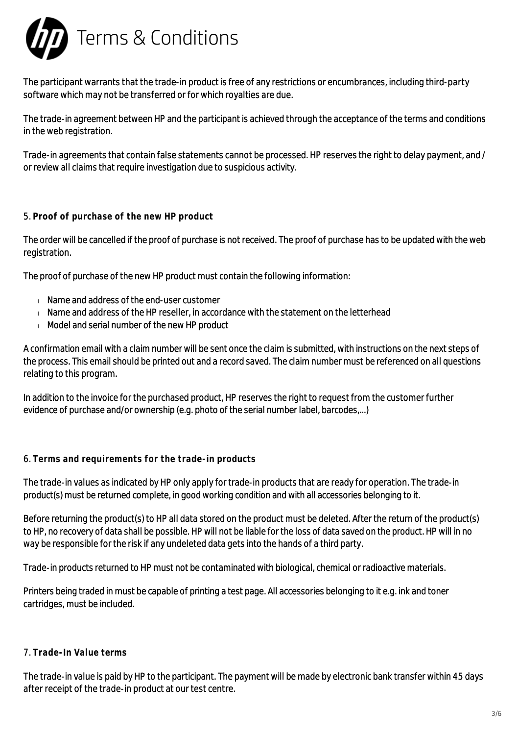

The participant warrants that the trade-in product is free of any restrictions or encumbrances, including third-party software which may not be transferred or for which royalties are due.

The trade-in agreement between HP and the participant is achieved through the acceptance of the terms and conditions in the web registration.

Trade-in agreements that contain false statements cannot be processed. HP reserves the right to delay payment, and / or review all claims that require investigation due to suspicious activity.

## 5. **Proof of purchase of the new HP product**

The order will be cancelled if the proof of purchase is not received. The proof of purchase has to be updated with the web registration.

The proof of purchase of the new HP product must contain the following information:

- Name and address of the end-user customer
- $\blacksquare$  Name and address of the HP reseller, in accordance with the statement on the letterhead
- Model and serial number of the new HP product

A confirmation email with a claim number will be sent once the claim is submitted, with instructions on the next steps of the process. This email should be printed out and a record saved. The claim number must be referenced on all questions relating to this program.

In addition to the invoice for the purchased product, HP reserves the right to request from the customer further evidence of purchase and/or ownership (e.g. photo of the serial number label, barcodes,...)

#### 6. **Terms and requirements for the trade-in products**

The trade-in values as indicated by HP only apply for trade-in products that are ready for operation. The trade-in product(s) must be returned complete, in good working condition and with all accessories belonging to it.

Before returning the product(s) to HP all data stored on the product must be deleted. After the return of the product(s) to HP, no recovery of data shall be possible. HP will not be liable for the loss of data saved on the product. HP will in no way be responsible for the risk if any undeleted data gets into the hands of a third party.

Trade-in products returned to HP must not be contaminated with biological, chemical or radioactive materials.

Printers being traded in must be capable of printing a test page. All accessories belonging to it e.g. ink and toner cartridges, must be included.

#### 7. **Trade-In Value terms**

The trade-in value is paid by HP to the participant. The payment will be made by electronic bank transfer within 45 days after receipt of the trade-in product at our test centre.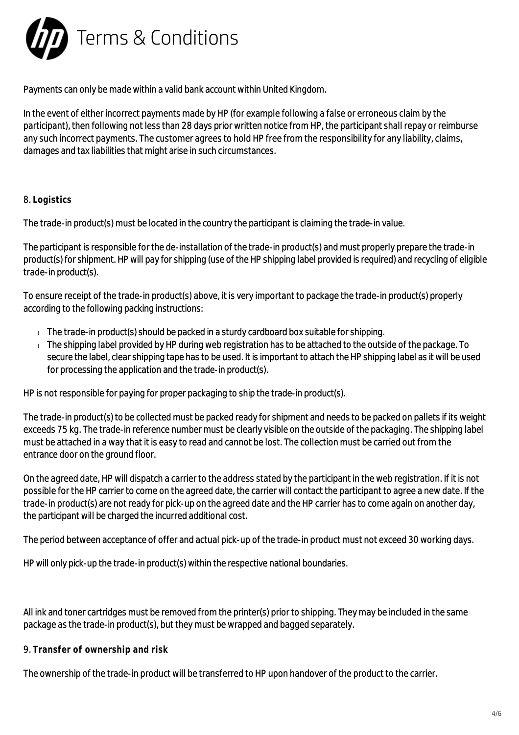

Payments can only be made within a valid bank account within United Kingdom.

In the event of either incorrect payments made by HP (for example following a false or erroneous claim by the participant), then following not less than 28 days prior written notice from HP, the participant shall repay or reimburse any such incorrect payments. The customer agrees to hold HP free from the responsibility for any liability, claims, damages and tax liabilities that might arise in such circumstances.

## 8. **Logistics**

The trade-in product(s) must be located in the country the participant is claiming the trade-in value.

The participant is responsible for the de-installation of the trade-in product(s) and must properly prepare the trade-in product(s) for shipment. HP will pay for shipping (use of the HP shipping label provided is required) and recycling of eligible trade-in product(s).

To ensure receipt of the trade-in product(s) above, it is very important to package the trade-in product(s) properly according to the following packing instructions:

- $\Box$  The trade-in product(s) should be packed in a sturdy cardboard box suitable for shipping.
- The shipping label provided by HP during web registration has to be attached to the outside of the package. To secure the label, clear shipping tape has to be used. It is important to attach the HP shipping label as it will be used for processing the application and the trade-in product(s).

HP is not responsible for paying for proper packaging to ship the trade-in product(s).

The trade-in product(s) to be collected must be packed ready for shipment and needs to be packed on pallets if its weight exceeds 75 kg. The trade-in reference number must be clearly visible on the outside of the packaging. The shipping label must be attached in a way that it is easy to read and cannot be lost. The collection must be carried out from the entrance door on the ground floor.

On the agreed date, HP will dispatch a carrier to the address stated by the participant in the web registration. If it is not possible for the HP carrier to come on the agreed date, the carrier will contact the participant to agree a new date. If the trade-in product(s) are not ready for pick-up on the agreed date and the HP carrier has to come again on another day, the participant will be charged the incurred additional cost.

The period between acceptance of offer and actual pick-up of the trade-in product must not exceed 30 working days.

HP will only pick-up the trade-in product(s) within the respective national boundaries.

All ink and toner cartridges must be removed from the printer(s) prior to shipping. They may be included in the same package as the trade-in product(s), but they must be wrapped and bagged separately.

#### 9. **Transfer of ownership and risk**

The ownership of the trade-in product will be transferred to HP upon handover of the product to the carrier.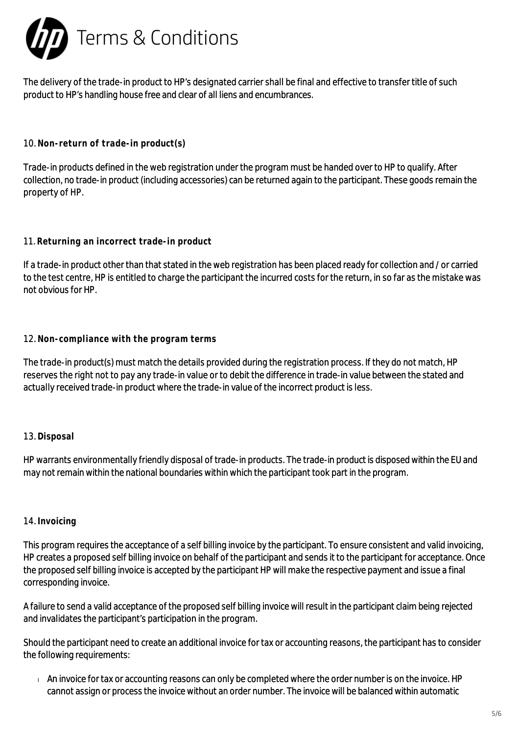

The delivery of the trade-in product to HP's designated carrier shall be final and effective to transfer title of such product to HP's handling house free and clear of all liens and encumbrances.

## 10. **Non-return of trade-in product(s)**

Trade-in products defined in the web registration under the program must be handed over to HP to qualify. After collection, no trade-in product (including accessories) can be returned again to the participant. These goods remain the property of HP.

## 11. **Returning an incorrect trade-in product**

If a trade-in product other than that stated in the web registration has been placed ready for collection and / or carried to the test centre, HP is entitled to charge the participant the incurred costs for the return, in so far as the mistake was not obvious for HP.

## 12. **Non-compliance with the program terms**

The trade-in product(s) must match the details provided during the registration process. If they do not match, HP reserves the right not to pay any trade-in value or to debit the difference in trade-in value between the stated and actually received trade-in product where the trade-in value of the incorrect product is less.

## 13. **Disposal**

HP warrants environmentally friendly disposal of trade-in products. The trade-in product is disposed within the EU and may not remain within the national boundaries within which the participant took part in the program.

#### 14. **Invoicing**

This program requires the acceptance of a self billing invoice by the participant. To ensure consistent and valid invoicing, HP creates a proposed self billing invoice on behalf of the participant and sends it to the participant for acceptance. Once the proposed self billing invoice is accepted by the participant HP will make the respective payment and issue a final corresponding invoice.

A failure to send a valid acceptance of the proposed self billing invoice will result in the participant claim being rejected and invalidates the participant's participation in the program.

Should the participant need to create an additional invoice for tax or accounting reasons, the participant has to consider the following requirements:

An invoice for tax or accounting reasons can only be completed where the order number is on the invoice. HP cannot assign or process the invoice without an order number. The invoice will be balanced within automatic